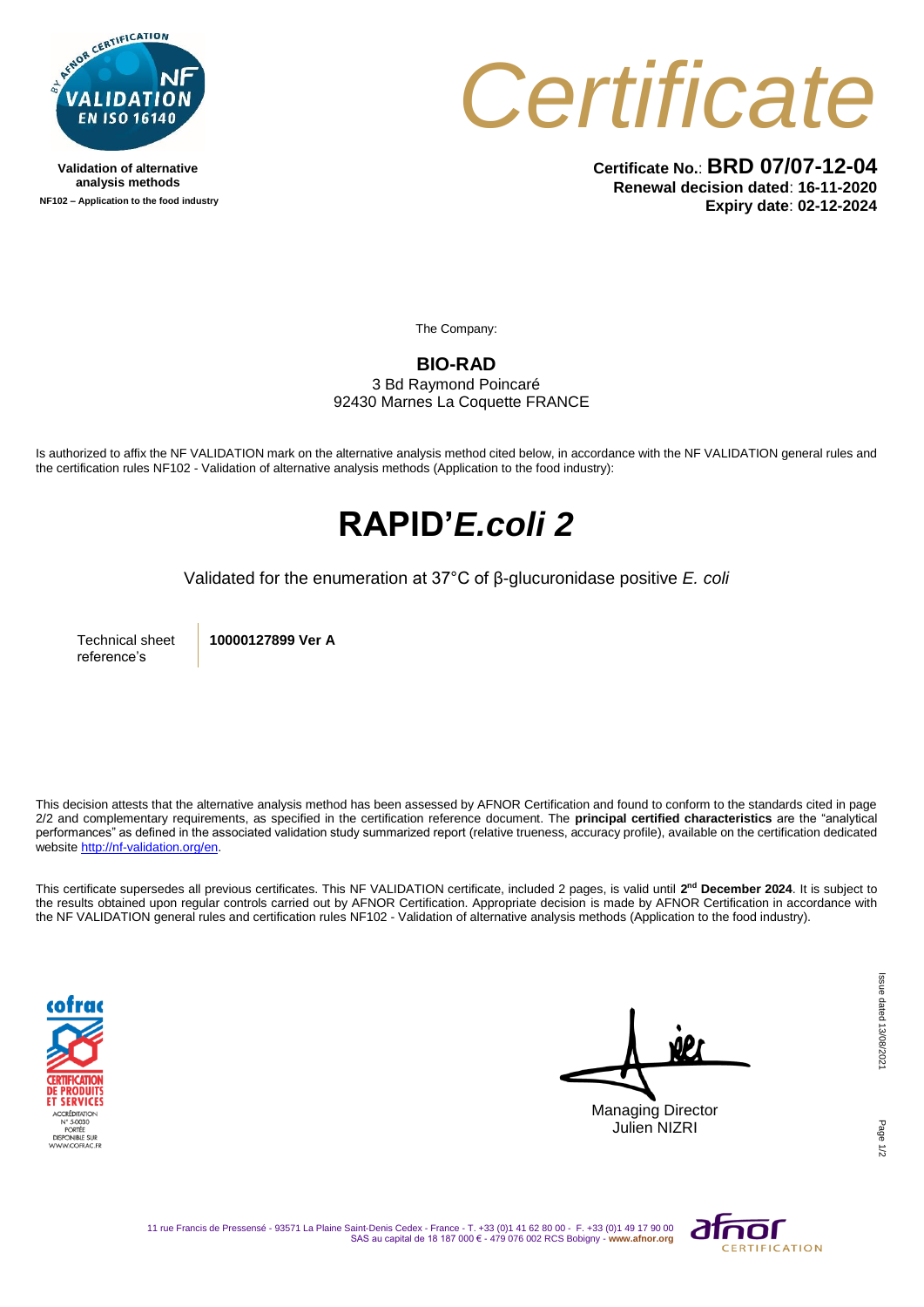

**Validation of alternative analysis methods NF102 – Application to the food industry**



**Certificate No.**: **BRD 07/07-12-04 Renewal decision dated**: **16-11-2020 Expiry date**: **02-12-2024**

The Company:

#### **BIO-RAD**

3 Bd Raymond Poincaré 92430 Marnes La Coquette FRANCE

Is authorized to affix the NF VALIDATION mark on the alternative analysis method cited below, in accordance with the NF VALIDATION general rules and the certification rules NF102 - Validation of alternative analysis methods (Application to the food industry):

## **RAPID'***E.coli 2*

Validated for the enumeration at 37°C of β-glucuronidase positive *E. coli*

Technical sheet reference's

**10000127899 Ver A**

This decision attests that the alternative analysis method has been assessed by AFNOR Certification and found to conform to the standards cited in page 2/2 and complementary requirements, as specified in the certification reference document. The **principal certified characteristics** are the "analytical performances" as defined in the associated validation study summarized report (relative trueness, accuracy profile), available on the certification dedicated websit[e http://nf-validation.org/en.](http://nf-validation.org/en)

This certificate supersedes all previous certificates. This NF VALIDATION certificate, included 2 pages, is valid until **2 nd December 2024**. It is subject to the results obtained upon regular controls carried out by AFNOR Certification. Appropriate decision is made by AFNOR Certification in accordance with the NF VALIDATION general rules and certification rules NF102 - Validation of alternative analysis methods (Application to the food industry).



Managing Director Julien NIZRI